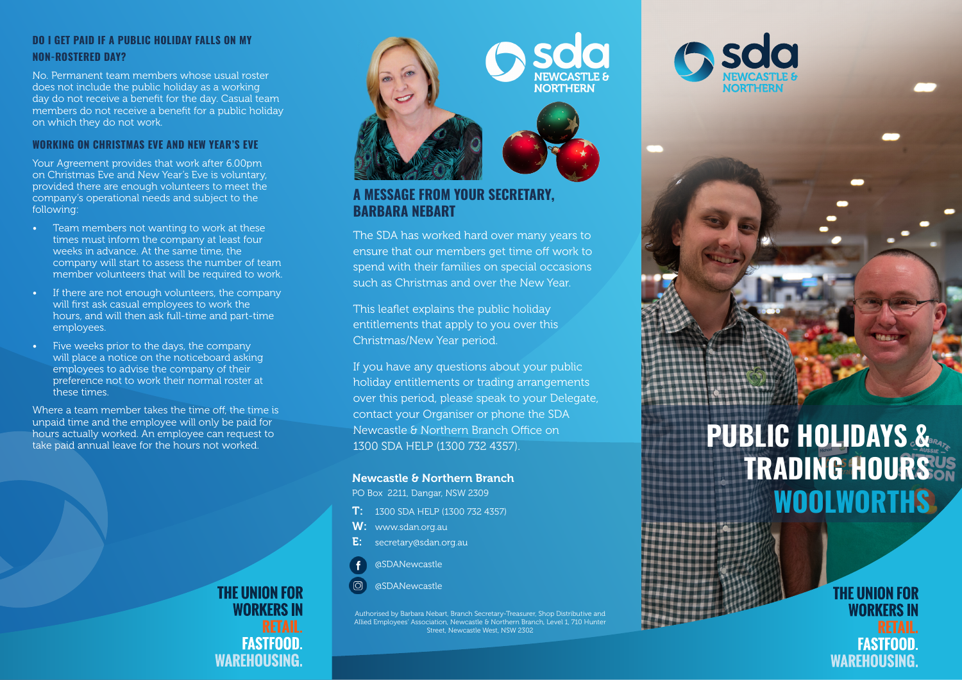# **DO I GET PAID IF A PUBLIC HOLIDAY FALLS ON MY NON-ROSTERED DAY?**

No. Permanent team members whose usual roster does not include the public holiday as a working day do not receive a benefit for the day. Casual team members do not receive a benefit for a public holiday on which they do not work.

# **WORKING ON CHRISTMAS EVE AND NEW YEAR'S EVE**

Your Agreement provides that work after 6.00pm on Christmas Eve and New Year's Eve is voluntary, provided there are enough volunteers to meet the company's operational needs and subject to the following:

- Team members not wanting to work at these times must inform the company at least four weeks in advance. At the same time, the company will start to assess the number of team member volunteers that will be required to work.
- If there are not enough volunteers, the company will first ask casual employees to work the hours, and will then ask full-time and part-time employees.
- Five weeks prior to the days, the company will place a notice on the noticeboard asking employees to advise the company of their preference not to work their normal roster at these times.

Where a team member takes the time off, the time is unpaid time and the employee will only be paid for hours actually worked. An employee can request to take paid annual leave for the hours not worked.

> **THE UNION FOR WORKERS IN FASTFOOD WAREHOUSING.**



# **A MESSAGE FROM YOUR SECRETARY, BARBARA NEBART**

The SDA has worked hard over many years to ensure that our members get time off work to spend with their families on special occasions such as Christmas and over the New Year.

This leaflet explains the public holiday entitlements that apply to you over this Christmas/New Year period.

If you have any questions about your public holiday entitlements or trading arrangements over this period, please speak to your Delegate, contact your Organiser or phone the SDA Newcastle & Northern Branch Office on 1300 SDA HELP (1300 732 4357).

#### Newcastle & Northern Branch

PO Box 2211, Dangar, NSW 2309

- T: 1300 SDA HELP (1300 732 4357)
- W: www.sdan.org.au
- E: secretary@sdan.org.au
- @SDANewcastle

j

@SDANewcastle

Authorised by Barbara Nebart, Branch Secretary-Treasurer, Shop Distributive and Allied Employees' Association, Newcastle & Northern Branch, Level 1, 710 Hunter Street, Newcastle West, NSW 2302

# **PUBLIC HOLIDAYS & TRADING HOURS WOOLWORTHS**